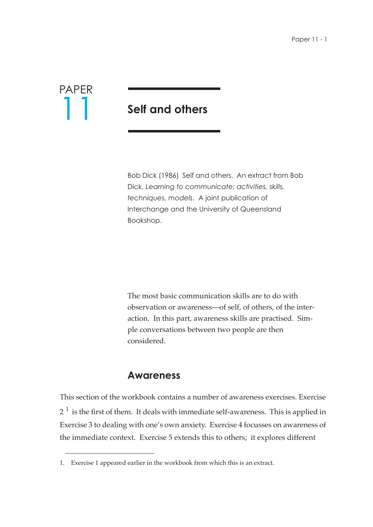

# **Self and others**

Bob Dick (1986) Self and others. An extract from Bob Dick, *Learning to communicate: activities, skills, techniques, models*. A joint publication of Interchange and the University of Queensland Bookshop.

The most basic communication skills are to do with observation or awareness—of self, of others, of the interaction. In this part, awareness skills are practised. Simple conversations between two people are then considered.

#### **Awareness**

This section of the workbook contains a number of awareness exercises. Exercise  $2^{\,1}$  is the first of them. It deals with immediate self-awareness. This is applied in Exercise 3 to dealing with one's own anxiety. Exercise 4 focusses on awareness of the immediate context. Exercise 5 extends this to others; it explores different

<sup>1.</sup> Exercise 1 appeared earlier in the workbook from which this is an extract.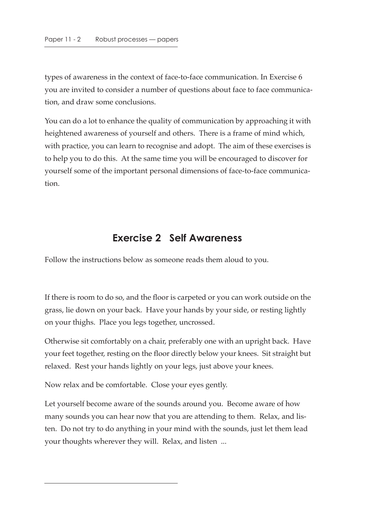types of awareness in the context of face-to-face communication. In Exercise 6 you are invited to consider a number of questions about face to face communication, and draw some conclusions.

You can do a lot to enhance the quality of communication by approaching it with heightened awareness of yourself and others. There is a frame of mind which, with practice, you can learn to recognise and adopt. The aim of these exercises is to help you to do this. At the same time you will be encouraged to discover for yourself some of the important personal dimensions of face-to-face communication.

#### **Exercise 2 Self Awareness**

Follow the instructions below as someone reads them aloud to you.

If there is room to do so, and the floor is carpeted or you can work outside on the grass, lie down on your back. Have your hands by your side, or resting lightly on your thighs. Place you legs together, uncrossed.

Otherwise sit comfortably on a chair, preferably one with an upright back. Have your feet together, resting on the floor directly below your knees. Sit straight but relaxed. Rest your hands lightly on your legs, just above your knees.

Now relax and be comfortable. Close your eyes gently.

Let yourself become aware of the sounds around you. Become aware of how many sounds you can hear now that you are attending to them. Relax, and listen. Do not try to do anything in your mind with the sounds, just let them lead your thoughts wherever they will. Relax, and listen ...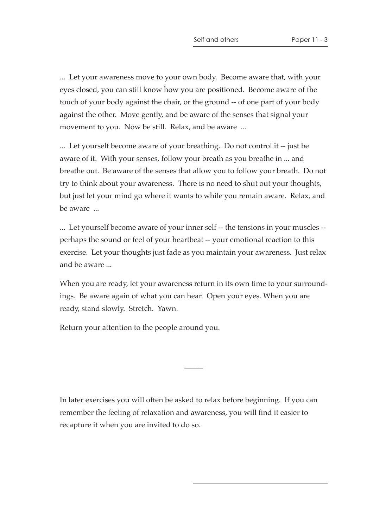... Let your awareness move to your own body. Become aware that, with your eyes closed, you can still know how you are positioned. Become aware of the touch of your body against the chair, or the ground -- of one part of your body against the other. Move gently, and be aware of the senses that signal your movement to you. Now be still. Relax, and be aware ...

... Let yourself become aware of your breathing. Do not control it -- just be aware of it. With your senses, follow your breath as you breathe in ... and breathe out. Be aware of the senses that allow you to follow your breath. Do not try to think about your awareness. There is no need to shut out your thoughts, but just let your mind go where it wants to while you remain aware. Relax, and be aware ...

... Let yourself become aware of your inner self -- the tensions in your muscles - perhaps the sound or feel of your heartbeat -- your emotional reaction to this exercise. Let your thoughts just fade as you maintain your awareness. Just relax and be aware ...

When you are ready, let your awareness return in its own time to your surroundings. Be aware again of what you can hear. Open your eyes. When you are ready, stand slowly. Stretch. Yawn.

 $\overline{\phantom{a}}$ 

Return your attention to the people around you.

In later exercises you will often be asked to relax before beginning. If you can remember the feeling of relaxation and awareness, you will find it easier to recapture it when you are invited to do so.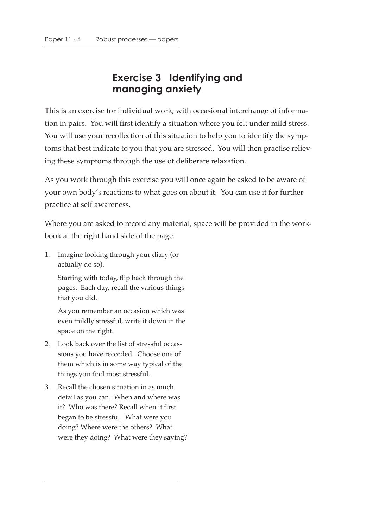# **Exercise 3 Identifying and managing anxiety**

This is an exercise for individual work, with occasional interchange of information in pairs. You will first identify a situation where you felt under mild stress. You will use your recollection of this situation to help you to identify the symptoms that best indicate to you that you are stressed. You will then practise relieving these symptoms through the use of deliberate relaxation.

As you work through this exercise you will once again be asked to be aware of your own body's reactions to what goes on about it. You can use it for further practice at self awareness.

Where you are asked to record any material, space will be provided in the workbook at the right hand side of the page.

1. Imagine looking through your diary (or actually do so).

Starting with today, flip back through the pages. Each day, recall the various things that you did.

As you remember an occasion which was even mildly stressful, write it down in the space on the right.

- 2. Look back over the list of stressful occassions you have recorded. Choose one of them which is in some way typical of the things you find most stressful.
- 3. Recall the chosen situation in as much detail as you can. When and where was it? Who was there? Recall when it first began to be stressful. What were you doing? Where were the others? What were they doing? What were they saying?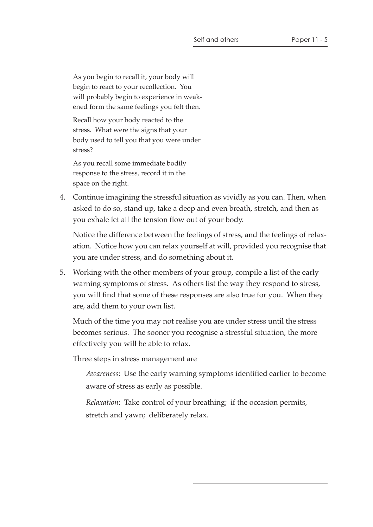As you begin to recall it, your body will begin to react to your recollection. You will probably begin to experience in weakened form the same feelings you felt then.

Recall how your body reacted to the stress. What were the signs that your body used to tell you that you were under stress?

As you recall some immediate bodily response to the stress, record it in the space on the right.

4. Continue imagining the stressful situation as vividly as you can. Then, when asked to do so, stand up, take a deep and even breath, stretch, and then as you exhale let all the tension flow out of your body.

Notice the difference between the feelings of stress, and the feelings of relaxation. Notice how you can relax yourself at will, provided you recognise that you are under stress, and do something about it.

5. Working with the other members of your group, compile a list of the early warning symptoms of stress. As others list the way they respond to stress, you will find that some of these responses are also true for you. When they are, add them to your own list.

Much of the time you may not realise you are under stress until the stress becomes serious. The sooner you recognise a stressful situation, the more effectively you will be able to relax.

Three steps in stress management are

*Awareness*: Use the early warning symptoms identified earlier to become aware of stress as early as possible.

*Relaxation*: Take control of your breathing; if the occasion permits, stretch and yawn; deliberately relax.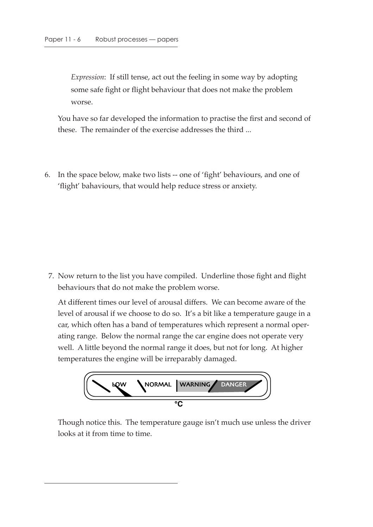*Expression*: If still tense, act out the feeling in some way by adopting some safe fight or flight behaviour that does not make the problem worse.

You have so far developed the information to practise the first and second of these. The remainder of the exercise addresses the third ...

6. In the space below, make two lists -- one of 'fight' behaviours, and one of 'flight' bahaviours, that would help reduce stress or anxiety.

 7. Now return to the list you have compiled. Underline those fight and flight behaviours that do not make the problem worse.

At different times our level of arousal differs. We can become aware of the level of arousal if we choose to do so. It's a bit like a temperature gauge in a car, which often has a band of temperatures which represent a normal operating range. Below the normal range the car engine does not operate very well. A little beyond the normal range it does, but not for long. At higher temperatures the engine will be irreparably damaged.



Though notice this. The temperature gauge isn't much use unless the driver looks at it from time to time.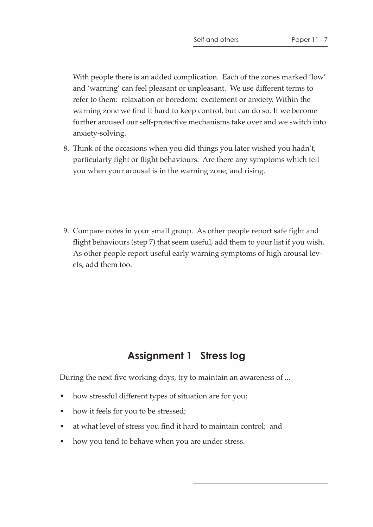With people there is an added complication. Each of the zones marked 'low' and 'warning' can feel pleasant or unpleasant. We use different terms to refer to them: relaxation or boredom; excitement or anxiety. Within the warning zone we find it hard to keep control, but can do so. If we become further aroused our self-protective mechanisms take over and we switch into anxiety-solving.

- 8. Think of the occasions when you did things you later wished you hadn't, particularly fight or flight behaviours. Are there any symptoms which tell you when your arousal is in the warning zone, and rising.
- 9. Compare notes in your small group. As other people report safe fight and flight behaviours (step 7) that seem useful, add them to your list if you wish. As other people report useful early warning symptoms of high arousal levels, add them too.

### **Assignment 1 Stress log**

During the next five working days, try to maintain an awareness of ...

- how stressful different types of situation are for you;
- how it feels for you to be stressed;
- at what level of stress you find it hard to maintain control; and
- how you tend to behave when you are under stress.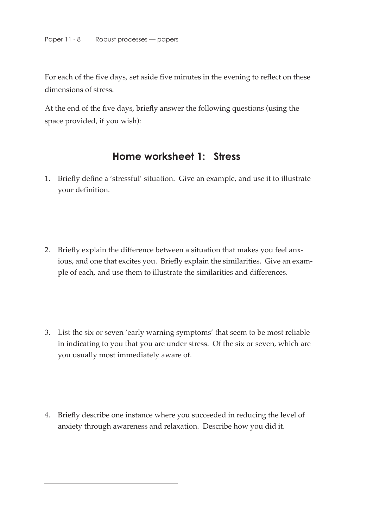For each of the five days, set aside five minutes in the evening to reflect on these dimensions of stress.

At the end of the five days, briefly answer the following questions (using the space provided, if you wish):

#### **Home worksheet 1: Stress**

- 1. Briefly define a 'stressful' situation. Give an example, and use it to illustrate your definition.
- 2. Briefly explain the difference between a situation that makes you feel anxious, and one that excites you. Briefly explain the similarities. Give an example of each, and use them to illustrate the similarities and differences.
- 3. List the six or seven 'early warning symptoms' that seem to be most reliable in indicating to you that you are under stress. Of the six or seven, which are you usually most immediately aware of.
- 4. Briefly describe one instance where you succeeded in reducing the level of anxiety through awareness and relaxation. Describe how you did it.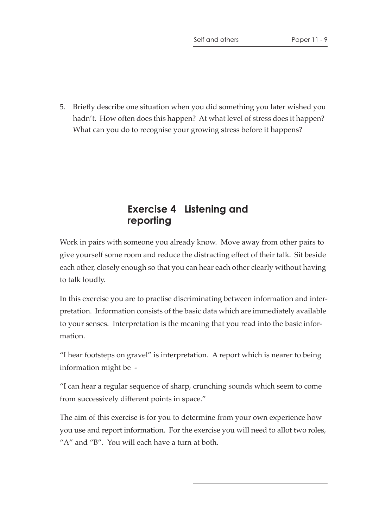5. Briefly describe one situation when you did something you later wished you hadn't. How often does this happen? At what level of stress does it happen? What can you do to recognise your growing stress before it happens?

### **Exercise 4 Listening and reporting**

Work in pairs with someone you already know. Move away from other pairs to give yourself some room and reduce the distracting effect of their talk. Sit beside each other, closely enough so that you can hear each other clearly without having to talk loudly.

In this exercise you are to practise discriminating between information and interpretation. Information consists of the basic data which are immediately available to your senses. Interpretation is the meaning that you read into the basic information.

"I hear footsteps on gravel" is interpretation. A report which is nearer to being information might be -

"I can hear a regular sequence of sharp, crunching sounds which seem to come from successively different points in space."

The aim of this exercise is for you to determine from your own experience how you use and report information. For the exercise you will need to allot two roles, "A" and "B". You will each have a turn at both.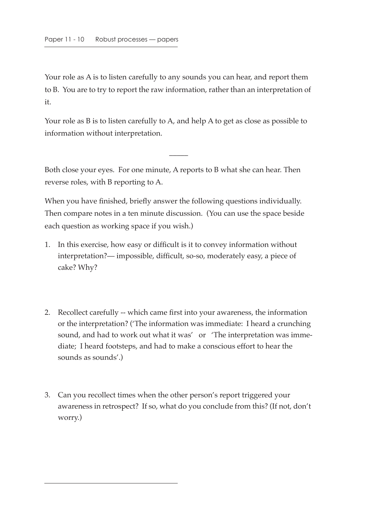Your role as A is to listen carefully to any sounds you can hear, and report them to B. You are to try to report the raw information, rather than an interpretation of it.

Your role as B is to listen carefully to A, and help A to get as close as possible to information without interpretation.

 $\overline{\phantom{a}}$ 

Both close your eyes. For one minute, A reports to B what she can hear. Then reverse roles, with B reporting to A.

When you have finished, briefly answer the following questions individually. Then compare notes in a ten minute discussion. (You can use the space beside each question as working space if you wish.)

- 1. In this exercise, how easy or difficult is it to convey information without interpretation?— impossible, difficult, so-so, moderately easy, a piece of cake? Why?
- 2. Recollect carefully -- which came first into your awareness, the information or the interpretation? ('The information was immediate: I heard a crunching sound, and had to work out what it was' or 'The interpretation was immediate; I heard footsteps, and had to make a conscious effort to hear the sounds as sounds'.)
- 3. Can you recollect times when the other person's report triggered your awareness in retrospect? If so, what do you conclude from this? (If not, don't worry.)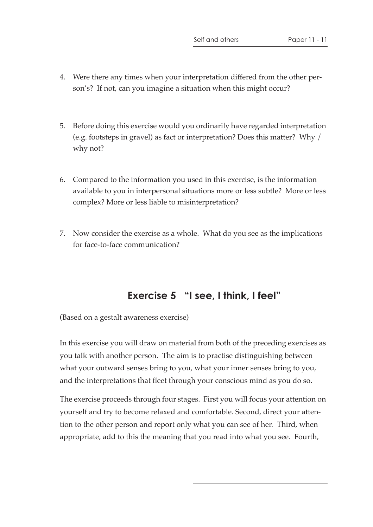- 4. Were there any times when your interpretation differed from the other person's? If not, can you imagine a situation when this might occur?
- 5. Before doing this exercise would you ordinarily have regarded interpretation (e.g. footsteps in gravel) as fact or interpretation? Does this matter? Why / why not?
- 6. Compared to the information you used in this exercise, is the information available to you in interpersonal situations more or less subtle? More or less complex? More or less liable to misinterpretation?
- 7. Now consider the exercise as a whole. What do you see as the implications for face-to-face communication?

## **Exercise 5 "I see, I think, I feel"**

(Based on a gestalt awareness exercise)

In this exercise you will draw on material from both of the preceding exercises as you talk with another person. The aim is to practise distinguishing between what your outward senses bring to you, what your inner senses bring to you, and the interpretations that fleet through your conscious mind as you do so.

The exercise proceeds through four stages. First you will focus your attention on yourself and try to become relaxed and comfortable. Second, direct your attention to the other person and report only what you can see of her. Third, when appropriate, add to this the meaning that you read into what you see. Fourth,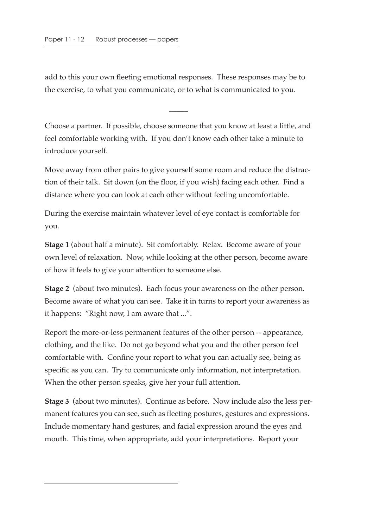add to this your own fleeting emotional responses. These responses may be to the exercise, to what you communicate, or to what is communicated to you.

Choose a partner. If possible, choose someone that you know at least a little, and feel comfortable working with. If you don't know each other take a minute to introduce yourself.

 $\overline{\phantom{a}}$ 

Move away from other pairs to give yourself some room and reduce the distraction of their talk. Sit down (on the floor, if you wish) facing each other. Find a distance where you can look at each other without feeling uncomfortable.

During the exercise maintain whatever level of eye contact is comfortable for you.

**Stage 1** (about half a minute). Sit comfortably. Relax. Become aware of your own level of relaxation. Now, while looking at the other person, become aware of how it feels to give your attention to someone else.

**Stage 2** (about two minutes). Each focus your awareness on the other person. Become aware of what you can see. Take it in turns to report your awareness as it happens: "Right now, I am aware that ...".

Report the more-or-less permanent features of the other person -- appearance, clothing, and the like. Do not go beyond what you and the other person feel comfortable with. Confine your report to what you can actually see, being as specific as you can. Try to communicate only information, not interpretation. When the other person speaks, give her your full attention.

**Stage 3** (about two minutes). Continue as before. Now include also the less permanent features you can see, such as fleeting postures, gestures and expressions. Include momentary hand gestures, and facial expression around the eyes and mouth. This time, when appropriate, add your interpretations. Report your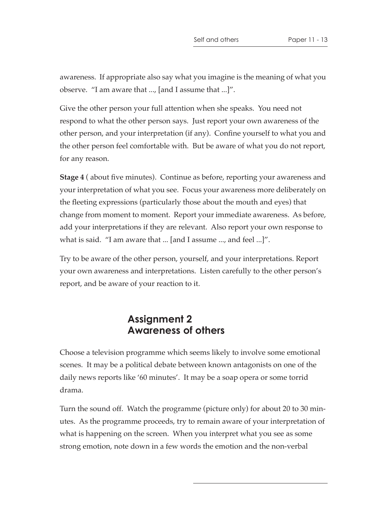awareness. If appropriate also say what you imagine is the meaning of what you observe. "I am aware that ..., [and I assume that ...]".

Give the other person your full attention when she speaks. You need not respond to what the other person says. Just report your own awareness of the other person, and your interpretation (if any). Confine yourself to what you and the other person feel comfortable with. But be aware of what you do not report, for any reason.

**Stage 4** ( about five minutes). Continue as before, reporting your awareness and your interpretation of what you see. Focus your awareness more deliberately on the fleeting expressions (particularly those about the mouth and eyes) that change from moment to moment. Report your immediate awareness. As before, add your interpretations if they are relevant. Also report your own response to what is said. "I am aware that ... [and I assume ..., and feel ...]".

Try to be aware of the other person, yourself, and your interpretations. Report your own awareness and interpretations. Listen carefully to the other person's report, and be aware of your reaction to it.

#### **Assignment 2 Awareness of others**

Choose a television programme which seems likely to involve some emotional scenes. It may be a political debate between known antagonists on one of the daily news reports like '60 minutes'. It may be a soap opera or some torrid drama.

Turn the sound off. Watch the programme (picture only) for about 20 to 30 minutes. As the programme proceeds, try to remain aware of your interpretation of what is happening on the screen. When you interpret what you see as some strong emotion, note down in a few words the emotion and the non-verbal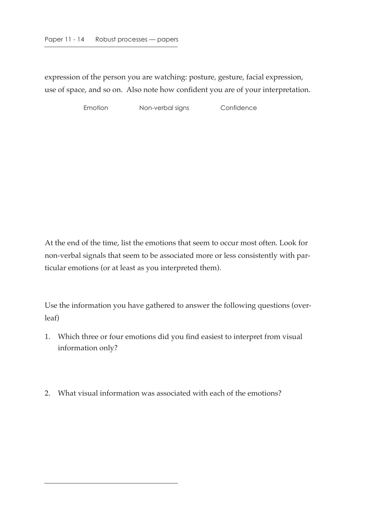expression of the person you are watching: posture, gesture, facial expression, use of space, and so on. Also note how confident you are of your interpretation.

Emotion Non-verbal signs Confidence

At the end of the time, list the emotions that seem to occur most often. Look for non-verbal signals that seem to be associated more or less consistently with particular emotions (or at least as you interpreted them).

Use the information you have gathered to answer the following questions (overleaf)

- 1. Which three or four emotions did you find easiest to interpret from visual information only?
- 2. What visual information was associated with each of the emotions?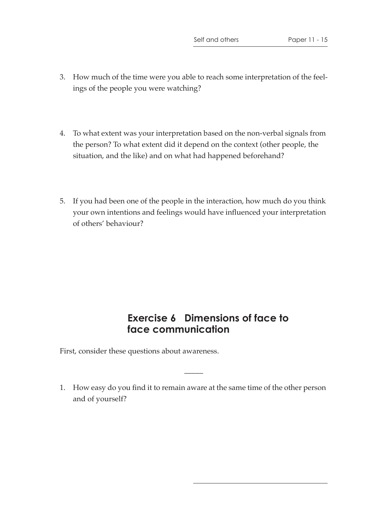- 3. How much of the time were you able to reach some interpretation of the feelings of the people you were watching?
- 4. To what extent was your interpretation based on the non-verbal signals from the person? To what extent did it depend on the context (other people, the situation, and the like) and on what had happened beforehand?
- 5. If you had been one of the people in the interaction, how much do you think your own intentions and feelings would have influenced your interpretation of others' behaviour?

### **Exercise 6 Dimensions of face to face communication**

First, consider these questions about awareness.

1. How easy do you find it to remain aware at the same time of the other person and of yourself?

 $\overline{\phantom{a}}$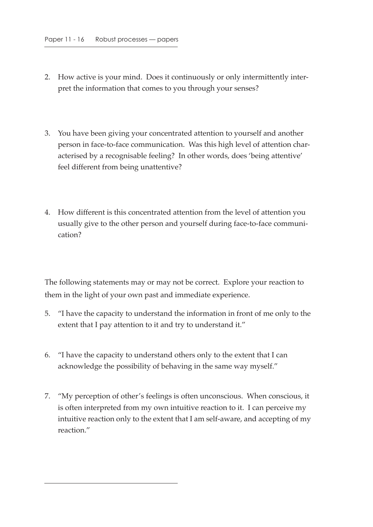- 2. How active is your mind. Does it continuously or only intermittently interpret the information that comes to you through your senses?
- 3. You have been giving your concentrated attention to yourself and another person in face-to-face communication. Was this high level of attention characterised by a recognisable feeling? In other words, does 'being attentive' feel different from being unattentive?
- 4. How different is this concentrated attention from the level of attention you usually give to the other person and yourself during face-to-face communication?

The following statements may or may not be correct. Explore your reaction to them in the light of your own past and immediate experience.

- 5. "I have the capacity to understand the information in front of me only to the extent that I pay attention to it and try to understand it."
- 6. "I have the capacity to understand others only to the extent that I can acknowledge the possibility of behaving in the same way myself."
- 7. "My perception of other's feelings is often unconscious. When conscious, it is often interpreted from my own intuitive reaction to it. I can perceive my intuitive reaction only to the extent that I am self-aware, and accepting of my reaction."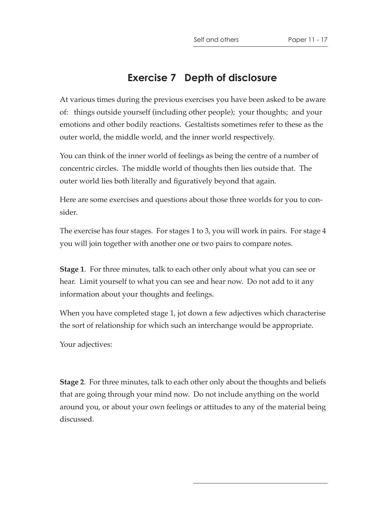#### **Exercise 7 Depth of disclosure**

At various times during the previous exercises you have been asked to be aware of: things outside yourself (including other people); your thoughts; and your emotions and other bodily reactions. Gestaltists sometimes refer to these as the outer world, the middle world, and the inner world respectively.

You can think of the inner world of feelings as being the centre of a number of concentric circles. The middle world of thoughts then lies outside that. The outer world lies both literally and figuratively beyond that again.

Here are some exercises and questions about those three worlds for you to consider.

The exercise has four stages. For stages 1 to 3, you will work in pairs. For stage 4 you will join together with another one or two pairs to compare notes.

**Stage 1**. For three minutes, talk to each other only about what you can see or hear. Limit yourself to what you can see and hear now. Do not add to it any information about your thoughts and feelings.

When you have completed stage 1, jot down a few adjectives which characterise the sort of relationship for which such an interchange would be appropriate.

Your adjectives:

**Stage 2**. For three minutes, talk to each other only about the thoughts and beliefs that are going through your mind now. Do not include anything on the world around you, or about your own feelings or attitudes to any of the material being discussed.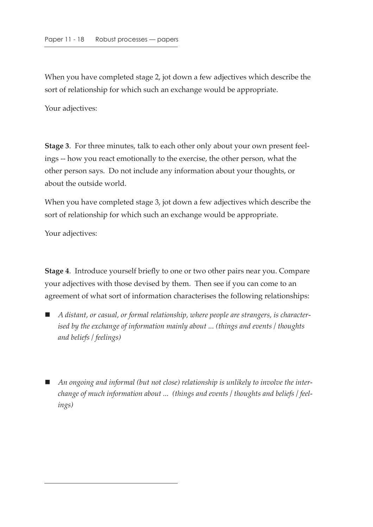When you have completed stage 2, jot down a few adjectives which describe the sort of relationship for which such an exchange would be appropriate.

Your adjectives:

**Stage 3**. For three minutes, talk to each other only about your own present feelings -- how you react emotionally to the exercise, the other person, what the other person says. Do not include any information about your thoughts, or about the outside world.

When you have completed stage 3, jot down a few adjectives which describe the sort of relationship for which such an exchange would be appropriate.

Your adjectives:

**Stage 4**. Introduce yourself briefly to one or two other pairs near you. Compare your adjectives with those devised by them. Then see if you can come to an agreement of what sort of information characterises the following relationships:

- *A distant, or casual, or formal relationship, where people are strangers, is characterised by the exchange of information mainly about ... (things and events / thoughts and beliefs / feelings)*
- An ongoing and informal (but not close) relationship is unlikely to involve the inter*change of much information about ... (things and events / thoughts and beliefs / feelings)*